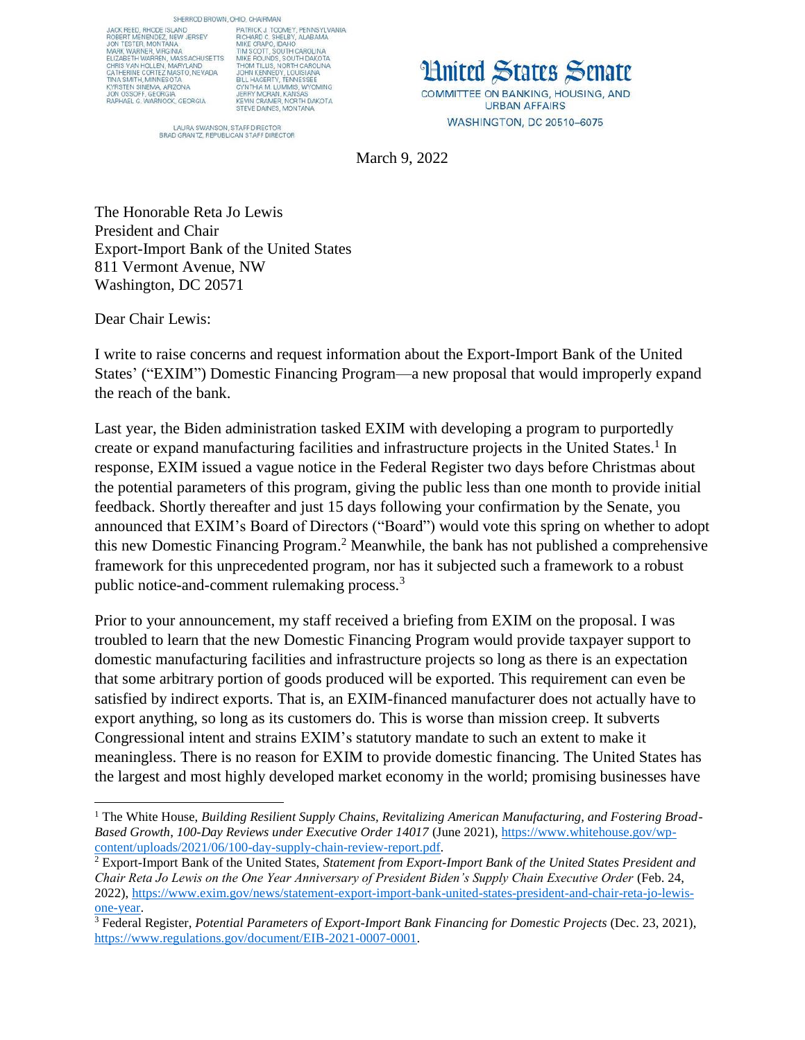JACK REED, RHODE ISLAND JACK REED, RHODE ISLAND<br>ROBERT MENENDEZ, NEW JERSEY<br>JON TESTER, MONTANA<br>MADK IMARMED, NROIMA MARK WARNER, VIRGINIA<br>ELIZABETH WARREN, MASSACHUSETTS ELIZABETH WARREN, MASSACHUSETTS<br>CHRIS VAN HOLLEN, MARYLAND<br>CATHERINE CORTEZ MASTO, NEVADA<br>TINA SMITH, MINNESOTA<br>KYRSTEN SINEMA, ARIZONA<br>JON OSSOFF, GEORGIA<br>RAPHAEL G. WARNOCK, GEORGIA

SHERROD BROWN, OHIO, CHAIRMAN PATRICK J. TOOMEY, PENNSYLVANIA<br>RICHARD C. SHELBY, ALABAMA<br>MIKE CRAPO, IDAHO NUNCE CRAPO, IDAHO MANUSIA<br>TIMSCOTT, SOUTH CARACTION<br>MIKE ROUNDS, SOUTH DAKOTA<br>THOM TILUS, NORTH CAROUNA<br>JOHN KENNEDY, LOUISIANA<br>JOHN KENNEDY, TENNESSEE<br>CYNTHIA M. LUMMIS, WYOMING<br>JERRY MORAN, KANSAS<br>KEWIN CRAMER, NORTH DA

LAURA SWANSON, STAFF DIRECTOR<br>BRAD GRANTZ, REPUBLICAN STAFF DIRECTOR

**Limited States Senate** COMMITTEE ON BANKING, HOUSING, AND **URBAN AFFAIRS** WASHINGTON, DC 20510-6075

March 9, 2022

The Honorable Reta Jo Lewis President and Chair Export-Import Bank of the United States 811 Vermont Avenue, NW Washington, DC 20571

Dear Chair Lewis:

 $\overline{\phantom{a}}$ 

I write to raise concerns and request information about the Export-Import Bank of the United States' ("EXIM") Domestic Financing Program—a new proposal that would improperly expand the reach of the bank.

Last year, the Biden administration tasked EXIM with developing a program to purportedly create or expand manufacturing facilities and infrastructure projects in the United States.<sup>1</sup> In response, EXIM issued a vague notice in the Federal Register two days before Christmas about the potential parameters of this program, giving the public less than one month to provide initial feedback. Shortly thereafter and just 15 days following your confirmation by the Senate, you announced that EXIM's Board of Directors ("Board") would vote this spring on whether to adopt this new Domestic Financing Program. <sup>2</sup> Meanwhile, the bank has not published a comprehensive framework for this unprecedented program, nor has it subjected such a framework to a robust public notice-and-comment rulemaking process.<sup>3</sup>

Prior to your announcement, my staff received a briefing from EXIM on the proposal. I was troubled to learn that the new Domestic Financing Program would provide taxpayer support to domestic manufacturing facilities and infrastructure projects so long as there is an expectation that some arbitrary portion of goods produced will be exported. This requirement can even be satisfied by indirect exports. That is, an EXIM-financed manufacturer does not actually have to export anything, so long as its customers do. This is worse than mission creep. It subverts Congressional intent and strains EXIM's statutory mandate to such an extent to make it meaningless. There is no reason for EXIM to provide domestic financing. The United States has the largest and most highly developed market economy in the world; promising businesses have

<sup>&</sup>lt;sup>1</sup> The White House, *Building Resilient Supply Chains, Revitalizing American Manufacturing, and Fostering Broad-Based Growth*, *100-Day Reviews under Executive Order 14017* (June 2021), [https://www.whitehouse.gov/wp](https://www.whitehouse.gov/wp-content/uploads/2021/06/100-day-supply-chain-review-report.pdf)[content/uploads/2021/06/100-day-supply-chain-review-report.pdf.](https://www.whitehouse.gov/wp-content/uploads/2021/06/100-day-supply-chain-review-report.pdf)

<sup>2</sup> Export-Import Bank of the United States, *Statement from Export-Import Bank of the United States President and Chair Reta Jo Lewis on the One Year Anniversary of President Biden's Supply Chain Executive Order* (Feb. 24, 2022), [https://www.exim.gov/news/statement-export-import-bank-united-states-president-and-chair-reta-jo-lewis](https://www.exim.gov/news/statement-export-import-bank-united-states-president-and-chair-reta-jo-lewis-one-year)[one-year.](https://www.exim.gov/news/statement-export-import-bank-united-states-president-and-chair-reta-jo-lewis-one-year)

<sup>3</sup> Federal Register, *Potential Parameters of Export-Import Bank Financing for Domestic Projects* (Dec. 23, 2021), [https://www.regulations.gov/document/EIB-2021-0007-0001.](https://www.regulations.gov/document/EIB-2021-0007-0001)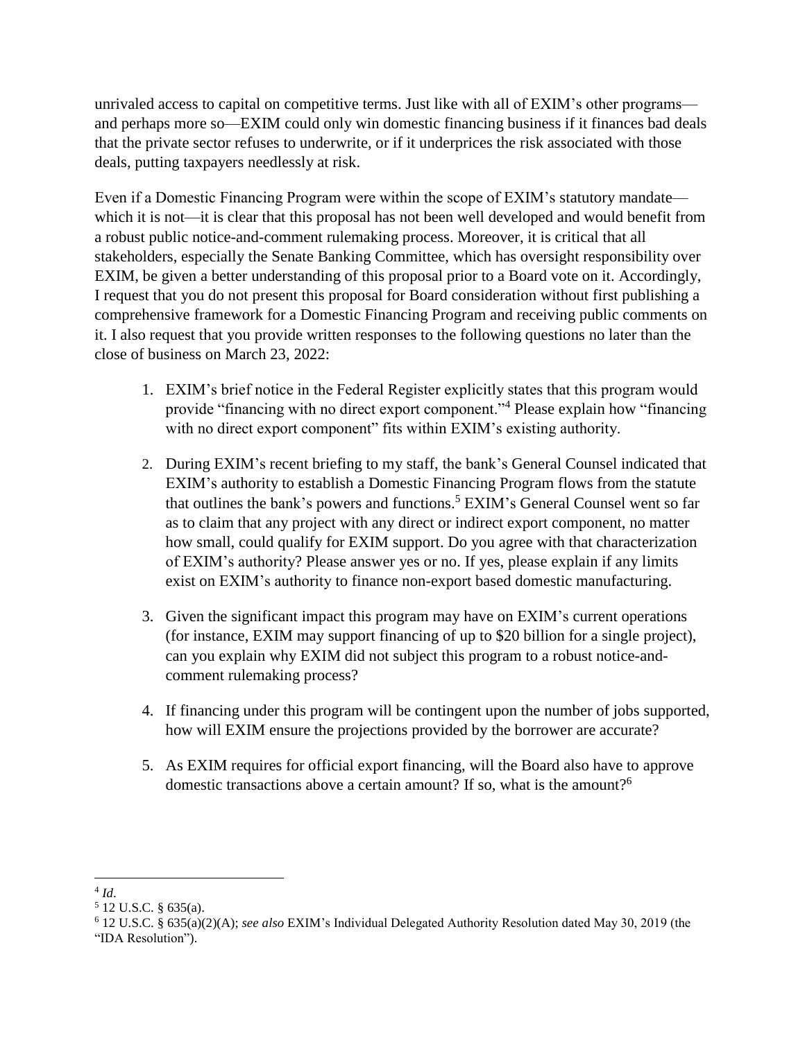unrivaled access to capital on competitive terms. Just like with all of EXIM's other programs and perhaps more so—EXIM could only win domestic financing business if it finances bad deals that the private sector refuses to underwrite, or if it underprices the risk associated with those deals, putting taxpayers needlessly at risk.

Even if a Domestic Financing Program were within the scope of EXIM's statutory mandate which it is not—it is clear that this proposal has not been well developed and would benefit from a robust public notice-and-comment rulemaking process. Moreover, it is critical that all stakeholders, especially the Senate Banking Committee, which has oversight responsibility over EXIM, be given a better understanding of this proposal prior to a Board vote on it. Accordingly, I request that you do not present this proposal for Board consideration without first publishing a comprehensive framework for a Domestic Financing Program and receiving public comments on it. I also request that you provide written responses to the following questions no later than the close of business on March 23, 2022:

- 1. EXIM's brief notice in the Federal Register explicitly states that this program would provide "financing with no direct export component."<sup>4</sup> Please explain how "financing with no direct export component" fits within EXIM's existing authority.
- 2. During EXIM's recent briefing to my staff, the bank's General Counsel indicated that EXIM's authority to establish a Domestic Financing Program flows from the statute that outlines the bank's powers and functions. <sup>5</sup> EXIM's General Counsel went so far as to claim that any project with any direct or indirect export component, no matter how small, could qualify for EXIM support. Do you agree with that characterization of EXIM's authority? Please answer yes or no. If yes, please explain if any limits exist on EXIM's authority to finance non-export based domestic manufacturing.
- 3. Given the significant impact this program may have on EXIM's current operations (for instance, EXIM may support financing of up to \$20 billion for a single project), can you explain why EXIM did not subject this program to a robust notice-andcomment rulemaking process?
- 4. If financing under this program will be contingent upon the number of jobs supported, how will EXIM ensure the projections provided by the borrower are accurate?
- 5. As EXIM requires for official export financing, will the Board also have to approve domestic transactions above a certain amount? If so, what is the amount?<sup>6</sup>

 $\overline{a}$ 4 *Id*.

<sup>5</sup> 12 U.S.C. § 635(a).

<sup>6</sup> 12 U.S.C. § 635(a)(2)(A); *see also* EXIM's Individual Delegated Authority Resolution dated May 30, 2019 (the "IDA Resolution").